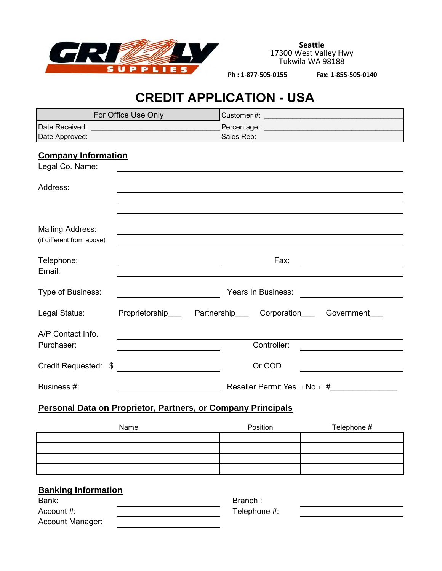

**Seattle** 17300 West Valley Hwy Tukwila WA 98188

 **Ph : 1-877-505-0155 Fax: 1-855-505-0140**

# **CREDIT APPLICATION - USA**

| For Office Use Only                                          |                                                     |  |             |             |  |
|--------------------------------------------------------------|-----------------------------------------------------|--|-------------|-------------|--|
|                                                              |                                                     |  |             |             |  |
| Date Approved:                                               |                                                     |  | Sales Rep:  |             |  |
| <b>Company Information</b><br>Legal Co. Name:                |                                                     |  |             |             |  |
| Address:                                                     |                                                     |  |             |             |  |
| <b>Mailing Address:</b><br>(if different from above)         |                                                     |  |             |             |  |
| Telephone:<br>Email:                                         | Fax:                                                |  |             |             |  |
| Type of Business:                                            | Years In Business:                                  |  |             |             |  |
| Legal Status:                                                | Proprietorship Partnership Corporation Government   |  |             |             |  |
| A/P Contact Info.<br>Purchaser:                              |                                                     |  | Controller: |             |  |
|                                                              |                                                     |  |             |             |  |
| Credit Requested: \$                                         | <u> 1989 - Johann Marie Barnett, fransk kongres</u> |  | Or COD      |             |  |
| Business #:                                                  | Reseller Permit Yes $\Box$ No $\Box$ #              |  |             |             |  |
| Personal Data on Proprietor, Partners, or Company Principals |                                                     |  |             |             |  |
|                                                              | Name                                                |  | Position    | Telephone # |  |
|                                                              |                                                     |  |             |             |  |
|                                                              |                                                     |  |             |             |  |
|                                                              |                                                     |  |             |             |  |
|                                                              |                                                     |  |             |             |  |

## **Banking Information**

| Bank:            | Branch:      |  |
|------------------|--------------|--|
| Account #:       | Telephone #: |  |
| Account Manager: |              |  |